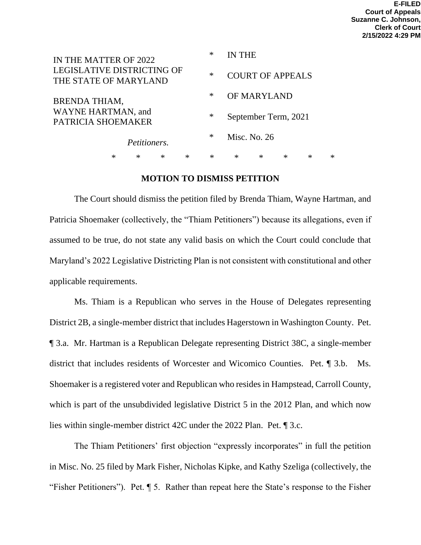|                                                     | IN THE MATTER OF 2022 |        |                         |   | ∗      | IN THE               |   |   |        |   |
|-----------------------------------------------------|-----------------------|--------|-------------------------|---|--------|----------------------|---|---|--------|---|
| LEGISLATIVE DISTRICTING OF<br>THE STATE OF MARYLAND |                       | $\ast$ | <b>COURT OF APPEALS</b> |   |        |                      |   |   |        |   |
| <b>BRENDA THIAM,</b>                                |                       | ∗      | OF MARYLAND             |   |        |                      |   |   |        |   |
| WAYNE HARTMAN, and<br>PATRICIA SHOEMAKER            |                       |        |                         |   |        | September Term, 2021 |   |   |        |   |
| Petitioners.                                        |                       |        |                         |   | $\ast$ | Misc. No. 26         |   |   |        |   |
|                                                     | ∗                     | ∗      | $\ast$                  | ∗ | $\ast$ | $\ast$               | ∗ | ∗ | $\ast$ | ∗ |

### **MOTION TO DISMISS PETITION**

The Court should dismiss the petition filed by Brenda Thiam, Wayne Hartman, and Patricia Shoemaker (collectively, the "Thiam Petitioners") because its allegations, even if assumed to be true, do not state any valid basis on which the Court could conclude that Maryland's 2022 Legislative Districting Plan is not consistent with constitutional and other applicable requirements.

Ms. Thiam is a Republican who serves in the House of Delegates representing District 2B, a single-member district that includes Hagerstown in Washington County. Pet. ¶ 3.a. Mr. Hartman is a Republican Delegate representing District 38C, a single-member district that includes residents of Worcester and Wicomico Counties. Pet. ¶ 3.b. Ms. Shoemaker is a registered voter and Republican who resides in Hampstead, Carroll County, which is part of the unsubdivided legislative District 5 in the 2012 Plan, and which now lies within single-member district 42C under the 2022 Plan. Pet. ¶ 3.c.

The Thiam Petitioners' first objection "expressly incorporates" in full the petition in Misc. No. 25 filed by Mark Fisher, Nicholas Kipke, and Kathy Szeliga (collectively, the "Fisher Petitioners"). Pet. ¶ 5. Rather than repeat here the State's response to the Fisher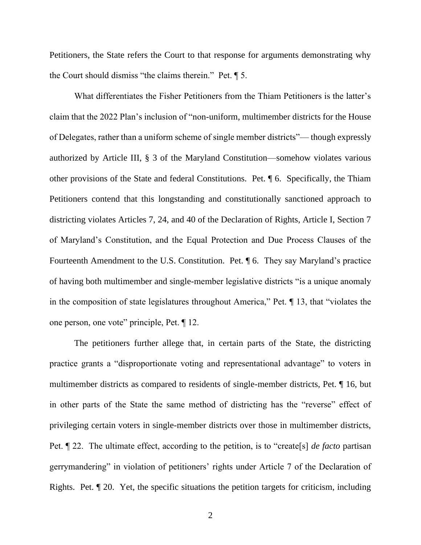Petitioners, the State refers the Court to that response for arguments demonstrating why the Court should dismiss "the claims therein." Pet. ¶ 5.

What differentiates the Fisher Petitioners from the Thiam Petitioners is the latter's claim that the 2022 Plan's inclusion of "non-uniform, multimember districts for the House of Delegates, rather than a uniform scheme of single member districts"— though expressly authorized by Article III, § 3 of the Maryland Constitution—somehow violates various other provisions of the State and federal Constitutions. Pet. ¶ 6. Specifically, the Thiam Petitioners contend that this longstanding and constitutionally sanctioned approach to districting violates Articles 7, 24, and 40 of the Declaration of Rights, Article I, Section 7 of Maryland's Constitution, and the Equal Protection and Due Process Clauses of the Fourteenth Amendment to the U.S. Constitution. Pet. ¶ 6. They say Maryland's practice of having both multimember and single-member legislative districts "is a unique anomaly in the composition of state legislatures throughout America," Pet. ¶ 13, that "violates the one person, one vote" principle, Pet. ¶ 12.

The petitioners further allege that, in certain parts of the State, the districting practice grants a "disproportionate voting and representational advantage" to voters in multimember districts as compared to residents of single-member districts, Pet. ¶ 16, but in other parts of the State the same method of districting has the "reverse" effect of privileging certain voters in single-member districts over those in multimember districts, Pet. ¶ 22. The ultimate effect, according to the petition, is to "create[s] *de facto* partisan gerrymandering" in violation of petitioners' rights under Article 7 of the Declaration of Rights. Pet. ¶ 20. Yet, the specific situations the petition targets for criticism, including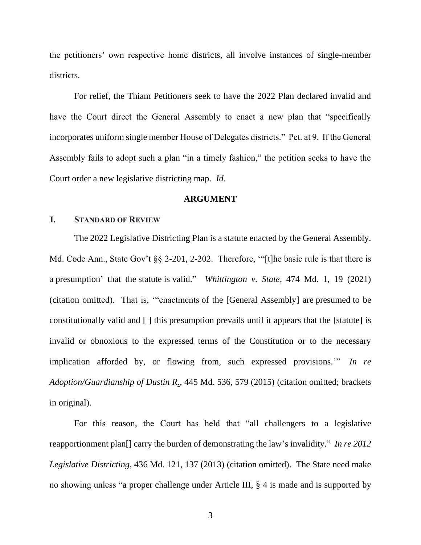the petitioners' own respective home districts, all involve instances of single-member districts.

For relief, the Thiam Petitioners seek to have the 2022 Plan declared invalid and have the Court direct the General Assembly to enact a new plan that "specifically incorporates uniform single member House of Delegates districts." Pet. at 9. If the General Assembly fails to adopt such a plan "in a timely fashion," the petition seeks to have the Court order a new legislative districting map. *Id.*

#### **ARGUMENT**

#### **I. STANDARD OF REVIEW**

The 2022 Legislative Districting Plan is a statute enacted by the General Assembly. Md. Code Ann., State Gov't §§ 2-201, 2-202. Therefore, "[t]he basic rule is that there is a presumption' that the statute is valid." *Whittington v. State*, 474 Md. 1, 19 (2021) (citation omitted). That is, '"enactments of the [General Assembly] are presumed to be constitutionally valid and [ ] this presumption prevails until it appears that the [statute] is invalid or obnoxious to the expressed terms of the Constitution or to the necessary implication afforded by, or flowing from, such expressed provisions.'" *In re Adoption/Guardianship of Dustin R*., 445 Md. 536, 579 (2015) (citation omitted; brackets in original).

For this reason, the Court has held that "all challengers to a legislative reapportionment plan[] carry the burden of demonstrating the law's invalidity." *In re 2012 Legislative Districting*, 436 Md. 121, 137 (2013) (citation omitted). The State need make no showing unless "a proper challenge under Article III, § 4 is made and is supported by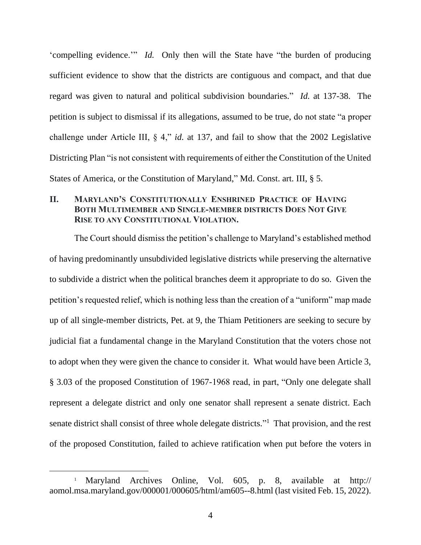'compelling evidence.'" *Id.* Only then will the State have "the burden of producing sufficient evidence to show that the districts are contiguous and compact, and that due regard was given to natural and political subdivision boundaries." *Id.* at 137-38. The petition is subject to dismissal if its allegations, assumed to be true, do not state "a proper challenge under Article III, § 4," *id.* at 137, and fail to show that the 2002 Legislative Districting Plan "is not consistent with requirements of either the Constitution of the United States of America, or the Constitution of Maryland," Md. Const. art. III, § 5.

# **II. MARYLAND'S CONSTITUTIONALLY ENSHRINED PRACTICE OF HAVING BOTH MULTIMEMBER AND SINGLE-MEMBER DISTRICTS DOES NOT GIVE RISE TO ANY CONSTITUTIONAL VIOLATION.**

The Court should dismiss the petition's challenge to Maryland's established method of having predominantly unsubdivided legislative districts while preserving the alternative to subdivide a district when the political branches deem it appropriate to do so. Given the petition's requested relief, which is nothing less than the creation of a "uniform" map made up of all single-member districts, Pet. at 9, the Thiam Petitioners are seeking to secure by judicial fiat a fundamental change in the Maryland Constitution that the voters chose not to adopt when they were given the chance to consider it. What would have been Article 3, § 3.03 of the proposed Constitution of 1967-1968 read, in part, "Only one delegate shall represent a delegate district and only one senator shall represent a senate district. Each senate district shall consist of three whole delegate districts."<sup>1</sup> That provision, and the rest of the proposed Constitution, failed to achieve ratification when put before the voters in

<sup>1</sup> Maryland Archives Online, Vol. 605, p. 8, available at http:// aomol.msa.maryland.gov/000001/000605/html/am605--8.html (last visited Feb. 15, 2022).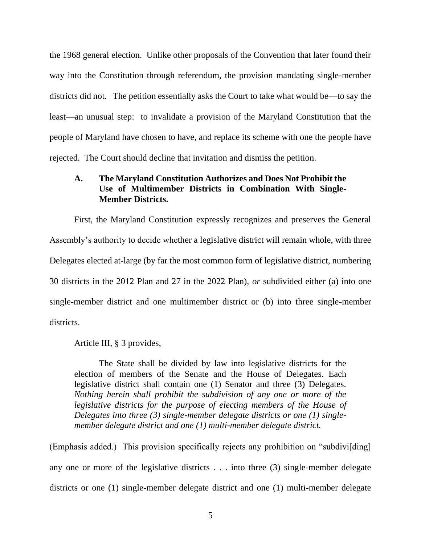the 1968 general election. Unlike other proposals of the Convention that later found their way into the Constitution through referendum, the provision mandating single-member districts did not. The petition essentially asks the Court to take what would be—to say the least—an unusual step: to invalidate a provision of the Maryland Constitution that the people of Maryland have chosen to have, and replace its scheme with one the people have rejected. The Court should decline that invitation and dismiss the petition.

# **A. The Maryland Constitution Authorizes and Does Not Prohibit the Use of Multimember Districts in Combination With Single-Member Districts.**

First, the Maryland Constitution expressly recognizes and preserves the General Assembly's authority to decide whether a legislative district will remain whole, with three Delegates elected at-large (by far the most common form of legislative district, numbering 30 districts in the 2012 Plan and 27 in the 2022 Plan), *or* subdivided either (a) into one single-member district and one multimember district or (b) into three single-member districts.

Article III, § 3 provides,

The State shall be divided by law into legislative districts for the election of members of the Senate and the House of Delegates. Each legislative district shall contain one (1) Senator and three (3) Delegates. *Nothing herein shall prohibit the subdivision of any one or more of the legislative districts for the purpose of electing members of the House of Delegates into three (3) single-member delegate districts or one (1) singlemember delegate district and one (1) multi-member delegate district.*

(Emphasis added.) This provision specifically rejects any prohibition on "subdivi[ding] any one or more of the legislative districts . . . into three (3) single-member delegate districts or one (1) single-member delegate district and one (1) multi-member delegate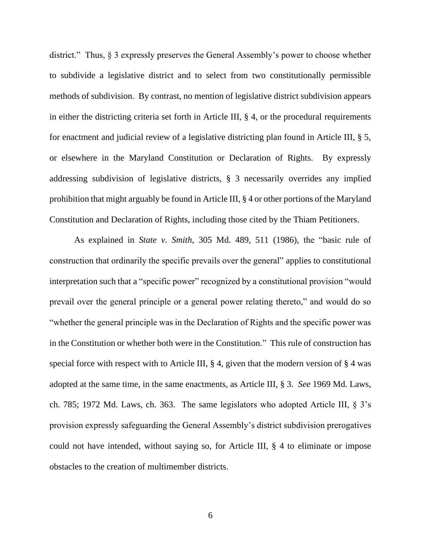district." Thus, § 3 expressly preserves the General Assembly's power to choose whether to subdivide a legislative district and to select from two constitutionally permissible methods of subdivision. By contrast, no mention of legislative district subdivision appears in either the districting criteria set forth in Article III, § 4, or the procedural requirements for enactment and judicial review of a legislative districting plan found in Article III, § 5, or elsewhere in the Maryland Constitution or Declaration of Rights. By expressly addressing subdivision of legislative districts, § 3 necessarily overrides any implied prohibition that might arguably be found in Article III, § 4 or other portions of the Maryland Constitution and Declaration of Rights, including those cited by the Thiam Petitioners.

As explained in *State v. Smith*, 305 Md. 489, 511 (1986), the "basic rule of construction that ordinarily the specific prevails over the general" applies to constitutional interpretation such that a "specific power" recognized by a constitutional provision "would prevail over the general principle or a general power relating thereto," and would do so "whether the general principle was in the Declaration of Rights and the specific power was in the Constitution or whether both were in the Constitution." This rule of construction has special force with respect with to Article III,  $\S 4$ , given that the modern version of  $\S 4$  was adopted at the same time, in the same enactments, as Article III, § 3. *See* 1969 Md. Laws, ch. 785; 1972 Md. Laws, ch. 363. The same legislators who adopted Article III, § 3's provision expressly safeguarding the General Assembly's district subdivision prerogatives could not have intended, without saying so, for Article III, § 4 to eliminate or impose obstacles to the creation of multimember districts.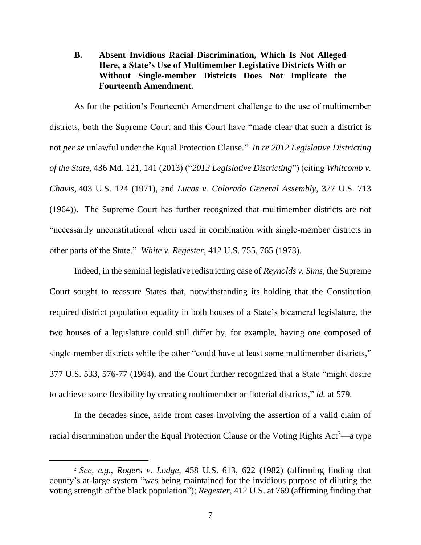## **B. Absent Invidious Racial Discrimination, Which Is Not Alleged Here, a State's Use of Multimember Legislative Districts With or Without Single-member Districts Does Not Implicate the Fourteenth Amendment.**

As for the petition's Fourteenth Amendment challenge to the use of multimember districts, both the Supreme Court and this Court have "made clear that such a district is not *per se* unlawful under the Equal Protection Clause." *In re 2012 Legislative Districting of the State*, 436 Md. 121, 141 (2013) ("*2012 Legislative Districting*") (citing *Whitcomb v. Chavis,* 403 U.S. 124 (1971), and *Lucas v. Colorado General Assembly*, 377 U.S. 713 (1964)). The Supreme Court has further recognized that multimember districts are not "necessarily unconstitutional when used in combination with single-member districts in other parts of the State." *White v. Regester*, 412 U.S. 755, 765 (1973).

Indeed, in the seminal legislative redistricting case of *Reynolds v. Sims*, the Supreme Court sought to reassure States that, notwithstanding its holding that the Constitution required district population equality in both houses of a State's bicameral legislature, the two houses of a legislature could still differ by, for example, having one composed of single-member districts while the other "could have at least some multimember districts," 377 U.S. 533, 576-77 (1964), and the Court further recognized that a State "might desire to achieve some flexibility by creating multimember or floterial districts," *id.* at 579.

In the decades since, aside from cases involving the assertion of a valid claim of racial discrimination under the Equal Protection Clause or the Voting Rights  $Act<sup>2</sup>$ —a type

<sup>2</sup> *See, e.g.*, *Rogers v. Lodge*, 458 U.S. 613, 622 (1982) (affirming finding that county's at-large system "was being maintained for the invidious purpose of diluting the voting strength of the black population"); *Regester*, 412 U.S. at 769 (affirming finding that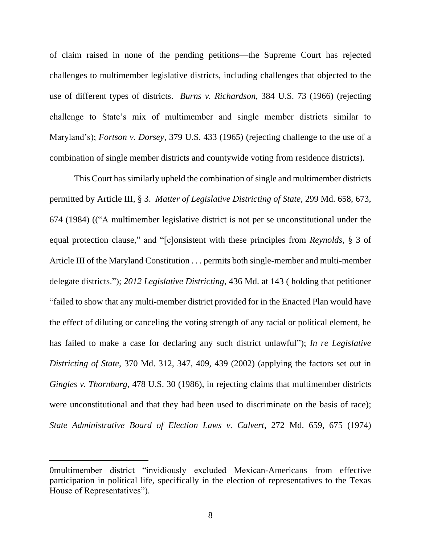of claim raised in none of the pending petitions—the Supreme Court has rejected challenges to multimember legislative districts, including challenges that objected to the use of different types of districts. *Burns v. Richardson*, 384 U.S. 73 (1966) (rejecting challenge to State's mix of multimember and single member districts similar to Maryland's); *Fortson v. Dorsey*, 379 U.S. 433 (1965) (rejecting challenge to the use of a combination of single member districts and countywide voting from residence districts).

This Court has similarly upheld the combination of single and multimember districts permitted by Article III, § 3. *Matter of Legislative Districting of State*, 299 Md. 658, 673, 674 (1984) (("A multimember legislative district is not per se unconstitutional under the equal protection clause," and "[c]onsistent with these principles from *Reynolds*, § 3 of Article III of the Maryland Constitution . . . permits both single-member and multi-member delegate districts."); *2012 Legislative Districting*, 436 Md. at 143 ( holding that petitioner "failed to show that any multi-member district provided for in the Enacted Plan would have the effect of diluting or canceling the voting strength of any racial or political element, he has failed to make a case for declaring any such district unlawful"); *In re Legislative Districting of State*, 370 Md. 312, 347, 409, 439 (2002) (applying the factors set out in *Gingles v. Thornburg*, 478 U.S. 30 (1986), in rejecting claims that multimember districts were unconstitutional and that they had been used to discriminate on the basis of race); *State Administrative Board of Election Laws v. Calvert*, 272 Md. 659, 675 (1974)

<sup>0</sup>multimember district "invidiously excluded Mexican-Americans from effective participation in political life, specifically in the election of representatives to the Texas House of Representatives").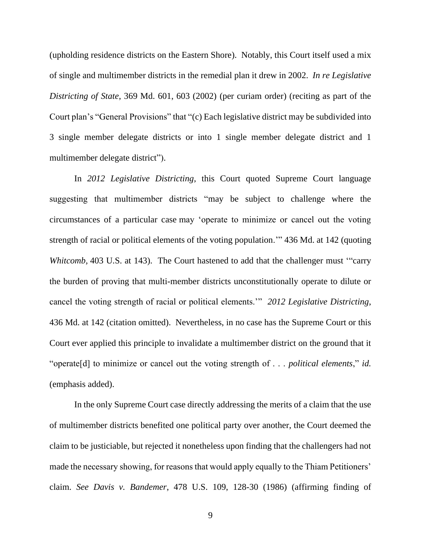(upholding residence districts on the Eastern Shore). Notably, this Court itself used a mix of single and multimember districts in the remedial plan it drew in 2002. *In re Legislative Districting of State*, 369 Md. 601, 603 (2002) (per curiam order) (reciting as part of the Court plan's "General Provisions" that "(c) Each legislative district may be subdivided into 3 single member delegate districts or into 1 single member delegate district and 1 multimember delegate district").

In *2012 Legislative Districting*, this Court quoted Supreme Court language suggesting that multimember districts "may be subject to challenge where the circumstances of a particular case may 'operate to minimize or cancel out the voting strength of racial or political elements of the voting population.'" 436 Md. at 142 (quoting *Whitcomb*, 403 U.S. at 143). The Court hastened to add that the challenger must "carry the burden of proving that multi-member districts unconstitutionally operate to dilute or cancel the voting strength of racial or political elements.'" *2012 Legislative Districting*, 436 Md. at 142 (citation omitted). Nevertheless, in no case has the Supreme Court or this Court ever applied this principle to invalidate a multimember district on the ground that it "operate[d] to minimize or cancel out the voting strength of . . . *political elements*," *id.* (emphasis added).

In the only Supreme Court case directly addressing the merits of a claim that the use of multimember districts benefited one political party over another, the Court deemed the claim to be justiciable, but rejected it nonetheless upon finding that the challengers had not made the necessary showing, for reasons that would apply equally to the Thiam Petitioners' claim. *See Davis v. Bandemer*, 478 U.S. 109, 128-30 (1986) (affirming finding of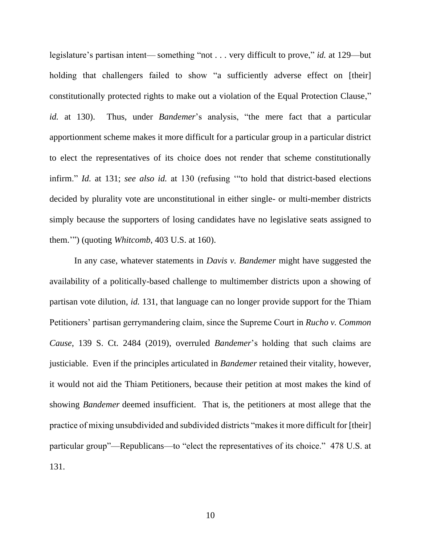legislature's partisan intent— something "not . . . very difficult to prove," *id.* at 129—but holding that challengers failed to show "a sufficiently adverse effect on [their] constitutionally protected rights to make out a violation of the Equal Protection Clause," *id.* at 130). Thus, under *Bandemer*'s analysis, "the mere fact that a particular apportionment scheme makes it more difficult for a particular group in a particular district to elect the representatives of its choice does not render that scheme constitutionally infirm." *Id.* at 131; *see also id.* at 130 (refusing '"to hold that district-based elections decided by plurality vote are unconstitutional in either single- or multi-member districts simply because the supporters of losing candidates have no legislative seats assigned to them.'") (quoting *Whitcomb*, 403 U.S. at 160).

In any case, whatever statements in *Davis v. Bandemer* might have suggested the availability of a politically-based challenge to multimember districts upon a showing of partisan vote dilution, *id.* 131, that language can no longer provide support for the Thiam Petitioners' partisan gerrymandering claim, since the Supreme Court in *Rucho v. Common Cause*, 139 S. Ct. 2484 (2019), overruled *Bandemer*'s holding that such claims are justiciable. Even if the principles articulated in *Bandemer* retained their vitality, however, it would not aid the Thiam Petitioners, because their petition at most makes the kind of showing *Bandemer* deemed insufficient. That is, the petitioners at most allege that the practice of mixing unsubdivided and subdivided districts "makes it more difficult for [their] particular group"—Republicans—to "elect the representatives of its choice." 478 U.S. at 131.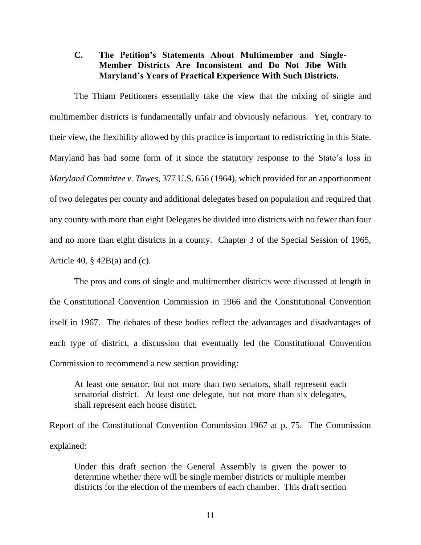## **C. The Petition's Statements About Multimember and Single-Member Districts Are Inconsistent and Do Not Jibe With Maryland's Years of Practical Experience With Such Districts.**

The Thiam Petitioners essentially take the view that the mixing of single and multimember districts is fundamentally unfair and obviously nefarious. Yet, contrary to their view, the flexibility allowed by this practice is important to redistricting in this State. Maryland has had some form of it since the statutory response to the State's loss in *Maryland Committee v. Tawes*, 377 U.S. 656 (1964), which provided for an apportionment of two delegates per county and additional delegates based on population and required that any county with more than eight Delegates be divided into districts with no fewer than four and no more than eight districts in a county. Chapter 3 of the Special Session of 1965, Article 40,  $\S$  42B(a) and (c).

The pros and cons of single and multimember districts were discussed at length in the Constitutional Convention Commission in 1966 and the Constitutional Convention itself in 1967. The debates of these bodies reflect the advantages and disadvantages of each type of district, a discussion that eventually led the Constitutional Convention Commission to recommend a new section providing:

At least one senator, but not more than two senators, shall represent each senatorial district. At least one delegate, but not more than six delegates, shall represent each house district.

Report of the Constitutional Convention Commission 1967 at p. 75. The Commission explained:

Under this draft section the General Assembly is given the power to determine whether there will be single member districts or multiple member districts for the election of the members of each chamber. This draft section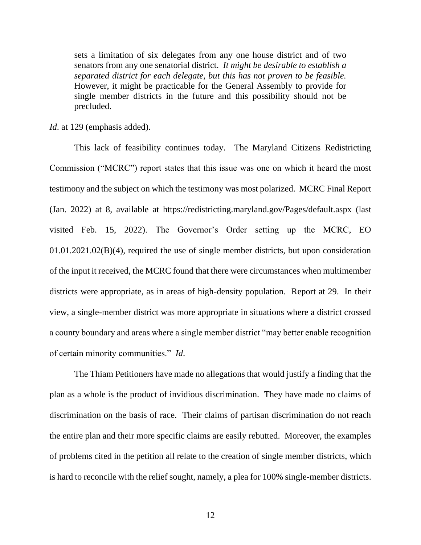sets a limitation of six delegates from any one house district and of two senators from any one senatorial district. *It might be desirable to establish a separated district for each delegate, but this has not proven to be feasible.* However, it might be practicable for the General Assembly to provide for single member districts in the future and this possibility should not be precluded.

*Id*. at 129 (emphasis added).

This lack of feasibility continues today. The Maryland Citizens Redistricting Commission ("MCRC") report states that this issue was one on which it heard the most testimony and the subject on which the testimony was most polarized. MCRC Final Report (Jan. 2022) at 8, available at https://redistricting.maryland.gov/Pages/default.aspx (last visited Feb. 15, 2022). The Governor's Order setting up the MCRC, EO 01.01.2021.02(B)(4), required the use of single member districts, but upon consideration of the input it received, the MCRC found that there were circumstances when multimember districts were appropriate, as in areas of high-density population. Report at 29. In their view, a single-member district was more appropriate in situations where a district crossed a county boundary and areas where a single member district "may better enable recognition of certain minority communities." *Id*.

The Thiam Petitioners have made no allegations that would justify a finding that the plan as a whole is the product of invidious discrimination. They have made no claims of discrimination on the basis of race. Their claims of partisan discrimination do not reach the entire plan and their more specific claims are easily rebutted. Moreover, the examples of problems cited in the petition all relate to the creation of single member districts, which is hard to reconcile with the relief sought, namely, a plea for 100% single-member districts.

12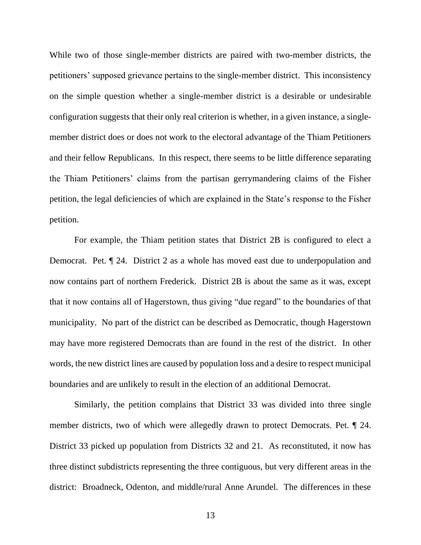While two of those single-member districts are paired with two-member districts, the petitioners' supposed grievance pertains to the single-member district. This inconsistency on the simple question whether a single-member district is a desirable or undesirable configuration suggests that their only real criterion is whether, in a given instance, a singlemember district does or does not work to the electoral advantage of the Thiam Petitioners and their fellow Republicans. In this respect, there seems to be little difference separating the Thiam Petitioners' claims from the partisan gerrymandering claims of the Fisher petition, the legal deficiencies of which are explained in the State's response to the Fisher petition.

For example, the Thiam petition states that District 2B is configured to elect a Democrat. Pet. ¶ 24. District 2 as a whole has moved east due to underpopulation and now contains part of northern Frederick. District 2B is about the same as it was, except that it now contains all of Hagerstown, thus giving "due regard" to the boundaries of that municipality. No part of the district can be described as Democratic, though Hagerstown may have more registered Democrats than are found in the rest of the district. In other words, the new district lines are caused by population loss and a desire to respect municipal boundaries and are unlikely to result in the election of an additional Democrat.

Similarly, the petition complains that District 33 was divided into three single member districts, two of which were allegedly drawn to protect Democrats. Pet. ¶ 24. District 33 picked up population from Districts 32 and 21. As reconstituted, it now has three distinct subdistricts representing the three contiguous, but very different areas in the district: Broadneck, Odenton, and middle/rural Anne Arundel. The differences in these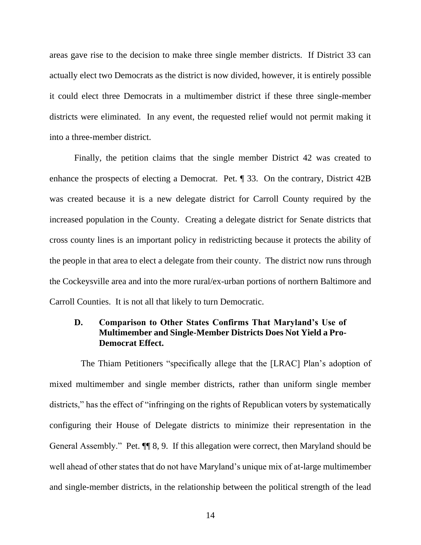areas gave rise to the decision to make three single member districts. If District 33 can actually elect two Democrats as the district is now divided, however, it is entirely possible it could elect three Democrats in a multimember district if these three single-member districts were eliminated. In any event, the requested relief would not permit making it into a three-member district.

Finally, the petition claims that the single member District 42 was created to enhance the prospects of electing a Democrat. Pet. ¶ 33. On the contrary, District 42B was created because it is a new delegate district for Carroll County required by the increased population in the County. Creating a delegate district for Senate districts that cross county lines is an important policy in redistricting because it protects the ability of the people in that area to elect a delegate from their county. The district now runs through the Cockeysville area and into the more rural/ex-urban portions of northern Baltimore and Carroll Counties. It is not all that likely to turn Democratic.

## **D. Comparison to Other States Confirms That Maryland's Use of Multimember and Single-Member Districts Does Not Yield a Pro-Democrat Effect.**

 The Thiam Petitioners "specifically allege that the [LRAC] Plan's adoption of mixed multimember and single member districts, rather than uniform single member districts," has the effect of "infringing on the rights of Republican voters by systematically configuring their House of Delegate districts to minimize their representation in the General Assembly." Pet. ¶¶ 8, 9. If this allegation were correct, then Maryland should be well ahead of other states that do not have Maryland's unique mix of at-large multimember and single-member districts, in the relationship between the political strength of the lead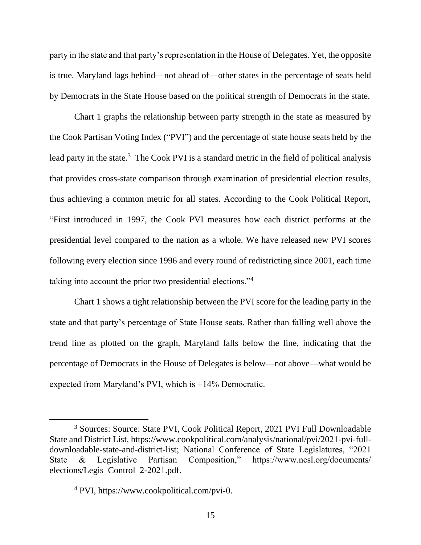party in the state and that party's representation in the House of Delegates. Yet, the opposite is true. Maryland lags behind—not ahead of—other states in the percentage of seats held by Democrats in the State House based on the political strength of Democrats in the state.

Chart 1 graphs the relationship between party strength in the state as measured by the Cook Partisan Voting Index ("PVI") and the percentage of state house seats held by the lead party in the state.<sup>3</sup> The Cook PVI is a standard metric in the field of political analysis that provides cross-state comparison through examination of presidential election results, thus achieving a common metric for all states. According to the Cook Political Report, "First introduced in 1997, the Cook PVI measures how each district performs at the presidential level compared to the nation as a whole. We have released new PVI scores following every election since 1996 and every round of redistricting since 2001, each time taking into account the prior two presidential elections."<sup>4</sup>

Chart 1 shows a tight relationship between the PVI score for the leading party in the state and that party's percentage of State House seats. Rather than falling well above the trend line as plotted on the graph, Maryland falls below the line, indicating that the percentage of Democrats in the House of Delegates is below—not above—what would be expected from Maryland's PVI, which is +14% Democratic.

<sup>3</sup> Sources: Source: State PVI, Cook Political Report, 2021 PVI Full Downloadable State and District List, https://www.cookpolitical.com/analysis/national/pvi/2021-pvi-fulldownloadable-state-and-district-list; National Conference of State Legislatures, "2021 State & Legislative Partisan Composition," https://www.ncsl.org/documents/ elections/Legis\_Control\_2-2021.pdf.

<sup>4</sup> PVI, https://www.cookpolitical.com/pvi-0.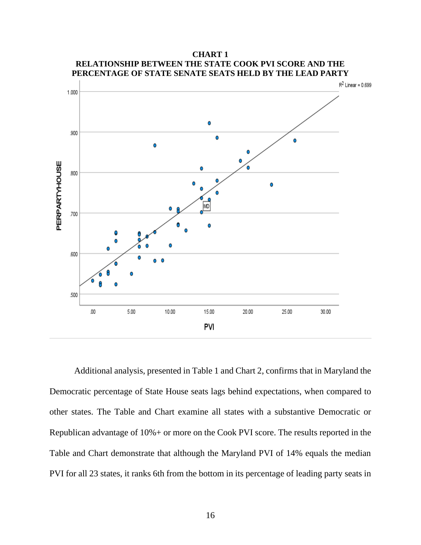

**CHART 1 RELATIONSHIP BETWEEN THE STATE COOK PVI SCORE AND THE** 

Additional analysis, presented in Table 1 and Chart 2, confirms that in Maryland the Democratic percentage of State House seats lags behind expectations, when compared to other states. The Table and Chart examine all states with a substantive Democratic or Republican advantage of 10%+ or more on the Cook PVI score. The results reported in the Table and Chart demonstrate that although the Maryland PVI of 14% equals the median PVI for all 23 states, it ranks 6th from the bottom in its percentage of leading party seats in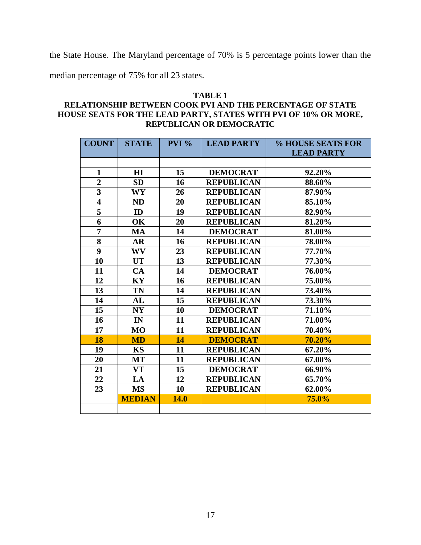the State House. The Maryland percentage of 70% is 5 percentage points lower than the

median percentage of 75% for all 23 states.

#### **TABLE 1 RELATIONSHIP BETWEEN COOK PVI AND THE PERCENTAGE OF STATE HOUSE SEATS FOR THE LEAD PARTY, STATES WITH PVI OF 10% OR MORE, REPUBLICAN OR DEMOCRATIC**

| <b>COUNT</b>            | <b>STATE</b>   | $PVI$ % | <b>LEAD PARTY</b> | % HOUSE SEATS FOR |
|-------------------------|----------------|---------|-------------------|-------------------|
|                         |                |         |                   | <b>LEAD PARTY</b> |
|                         |                |         |                   |                   |
| $\mathbf{1}$            | H I            | 15      | <b>DEMOCRAT</b>   | 92.20%            |
| $\overline{2}$          | <b>SD</b>      | 16      | <b>REPUBLICAN</b> | 88.60%            |
| $\overline{\mathbf{3}}$ | WY             | 26      | <b>REPUBLICAN</b> | 87.90%            |
| $\overline{\mathbf{4}}$ | <b>ND</b>      | 20      | <b>REPUBLICAN</b> | 85.10%            |
| $\overline{\mathbf{5}}$ | ID             | 19      | <b>REPUBLICAN</b> | 82.90%            |
| 6                       | OK             | 20      | <b>REPUBLICAN</b> | 81.20%            |
| $\overline{7}$          | <b>MA</b>      | 14      | <b>DEMOCRAT</b>   | 81.00%            |
| 8                       | <b>AR</b>      | 16      | <b>REPUBLICAN</b> | 78.00%            |
| $\boldsymbol{9}$        | <b>WV</b>      | 23      | <b>REPUBLICAN</b> | 77.70%            |
| 10                      | <b>UT</b>      | 13      | <b>REPUBLICAN</b> | 77.30%            |
| 11                      | CA             | 14      | <b>DEMOCRAT</b>   | 76.00%            |
| 12                      | KY             | 16      | <b>REPUBLICAN</b> | 75.00%            |
| 13                      | TN             | 14      | <b>REPUBLICAN</b> | 73.40%            |
| 14                      | AL             | 15      | <b>REPUBLICAN</b> | 73.30%            |
| 15                      | N <sub>Y</sub> | 10      | <b>DEMOCRAT</b>   | 71.10%            |
| 16                      | IN             | 11      | <b>REPUBLICAN</b> | 71.00%            |
| 17                      | MO             | 11      | <b>REPUBLICAN</b> | 70.40%            |
| 18                      | <b>MD</b>      | 14      | <b>DEMOCRAT</b>   | 70.20%            |
| 19                      | <b>KS</b>      | 11      | <b>REPUBLICAN</b> | 67.20%            |
| 20                      | <b>MT</b>      | 11      | <b>REPUBLICAN</b> | 67.00%            |
| 21                      | <b>VT</b>      | 15      | <b>DEMOCRAT</b>   | 66.90%            |
| 22                      | LA             | 12      | <b>REPUBLICAN</b> | 65.70%            |
| 23                      | <b>MS</b>      | 10      | <b>REPUBLICAN</b> | 62.00%            |
|                         | <b>MEDIAN</b>  | 14.0    |                   | 75.0%             |
|                         |                |         |                   |                   |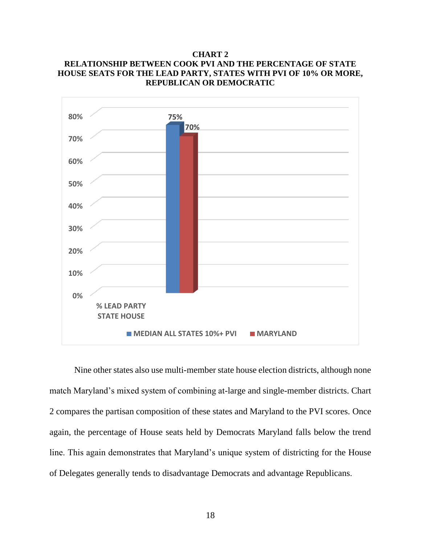#### **CHART 2 RELATIONSHIP BETWEEN COOK PVI AND THE PERCENTAGE OF STATE HOUSE SEATS FOR THE LEAD PARTY, STATES WITH PVI OF 10% OR MORE, REPUBLICAN OR DEMOCRATIC**



Nine other states also use multi-member state house election districts, although none match Maryland's mixed system of combining at-large and single-member districts. Chart 2 compares the partisan composition of these states and Maryland to the PVI scores. Once again, the percentage of House seats held by Democrats Maryland falls below the trend line. This again demonstrates that Maryland's unique system of districting for the House of Delegates generally tends to disadvantage Democrats and advantage Republicans.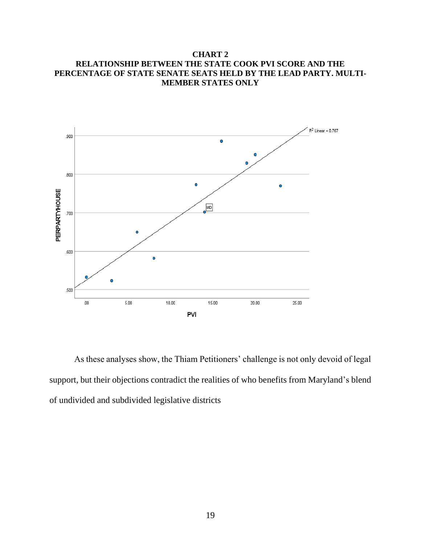#### **CHART 2 RELATIONSHIP BETWEEN THE STATE COOK PVI SCORE AND THE PERCENTAGE OF STATE SENATE SEATS HELD BY THE LEAD PARTY. MULTI-MEMBER STATES ONLY**



As these analyses show, the Thiam Petitioners' challenge is not only devoid of legal support, but their objections contradict the realities of who benefits from Maryland's blend of undivided and subdivided legislative districts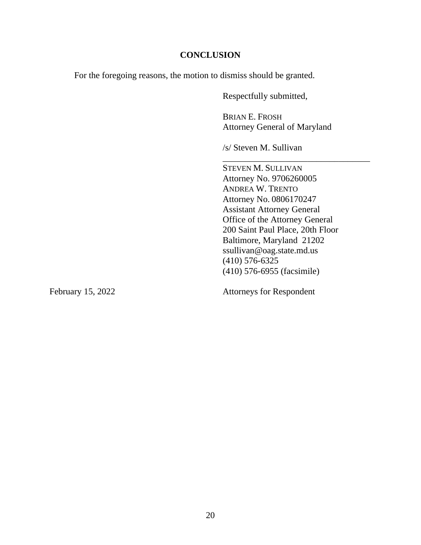#### **CONCLUSION**

For the foregoing reasons, the motion to dismiss should be granted.

Respectfully submitted,

BRIAN E. FROSH Attorney General of Maryland

\_\_\_\_\_\_\_\_\_\_\_\_\_\_\_\_\_\_\_\_\_\_\_\_\_\_\_\_\_\_\_\_\_

/s/ Steven M. Sullivan

STEVEN M. SULLIVAN Attorney No. 9706260005 ANDREA W. TRENTO Attorney No. 0806170247 Assistant Attorney General Office of the Attorney General 200 Saint Paul Place, 20th Floor Baltimore, Maryland 21202 ssullivan@oag.state.md.us (410) 576-6325 (410) 576-6955 (facsimile)

February 15, 2022 Attorneys for Respondent